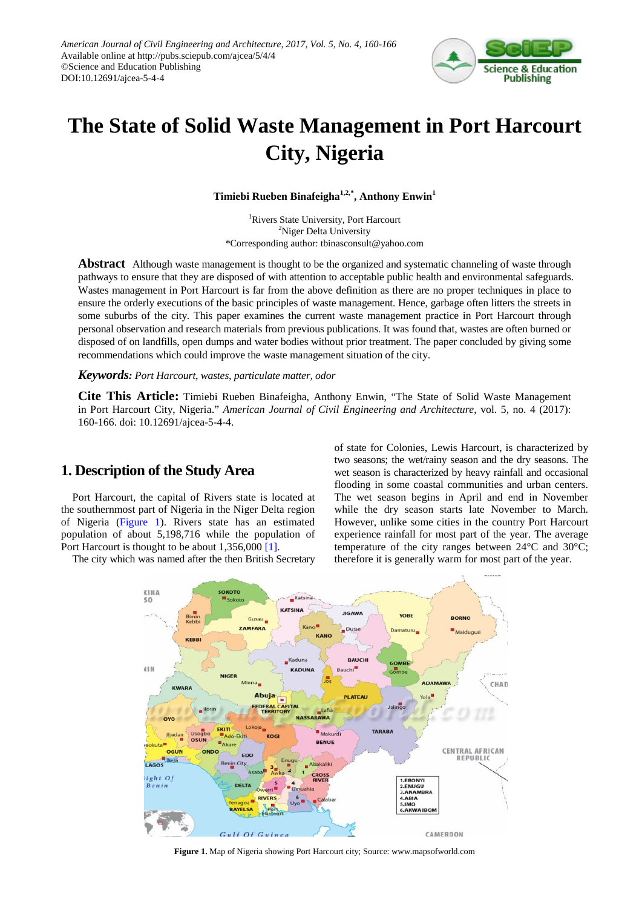

# **The State of Solid Waste Management in Port Harcourt City, Nigeria**

**Timiebi Rueben Binafeigha1,2,\*, Anthony Enwin1**

1 Rivers State University, Port Harcourt <sup>2</sup>Niger Delta University \*Corresponding author: tbinasconsult@yahoo.com

**Abstract** Although waste management is thought to be the organized and systematic channeling of waste through pathways to ensure that they are disposed of with attention to acceptable public health and environmental safeguards. Wastes management in Port Harcourt is far from the above definition as there are no proper techniques in place to ensure the orderly executions of the basic principles of waste management. Hence, garbage often litters the streets in some suburbs of the city. This paper examines the current waste management practice in Port Harcourt through personal observation and research materials from previous publications. It was found that, wastes are often burned or disposed of on landfills, open dumps and water bodies without prior treatment. The paper concluded by giving some recommendations which could improve the waste management situation of the city.

*Keywords: Port Harcourt, wastes, particulate matter, odor*

**Cite This Article:** Timiebi Rueben Binafeigha, Anthony Enwin, "The State of Solid Waste Management in Port Harcourt City, Nigeria." *American Journal of Civil Engineering and Architecture*, vol. 5, no. 4 (2017): 160-166. doi: 10.12691/ajcea-5-4-4.

## **1. Description of the Study Area**

Port Harcourt, the capital of Rivers state is located at the southernmost part of Nigeria in the Niger Delta region of Nigeria [\(Figure 1\)](#page-0-0). Rivers state has an estimated population of about 5,198,716 while the population of Port Harcourt is thought to be about 1,356,00[0 \[1\].](#page-5-0)

<span id="page-0-0"></span>The city which was named after the then British Secretary

of state for Colonies, Lewis Harcourt, is characterized by two seasons; the wet/rainy season and the dry seasons. The wet season is characterized by heavy rainfall and occasional flooding in some coastal communities and urban centers. The wet season begins in April and end in November while the dry season starts late November to March. However, unlike some cities in the country Port Harcourt experience rainfall for most part of the year. The average temperature of the city ranges between 24°C and 30°C; therefore it is generally warm for most part of the year.



**Figure 1.** Map of Nigeria showing Port Harcourt city; Source: www.mapsofworld.com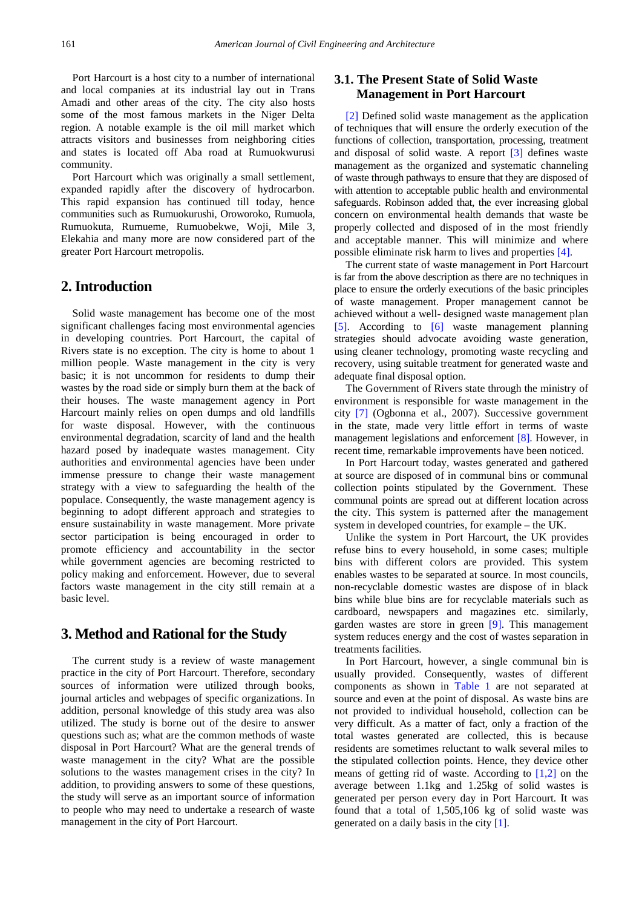Port Harcourt is a host city to a number of international and local companies at its industrial lay out in Trans Amadi and other areas of the city. The city also hosts some of the most famous markets in the Niger Delta region. A notable example is the oil mill market which attracts visitors and businesses from neighboring cities and states is located off Aba road at Rumuokwurusi community.

Port Harcourt which was originally a small settlement, expanded rapidly after the discovery of hydrocarbon. This rapid expansion has continued till today, hence communities such as Rumuokurushi, Oroworoko, Rumuola, Rumuokuta, Rumueme, Rumuobekwe, Woji, Mile 3, Elekahia and many more are now considered part of the greater Port Harcourt metropolis.

# **2. Introduction**

Solid waste management has become one of the most significant challenges facing most environmental agencies in developing countries. Port Harcourt, the capital of Rivers state is no exception. The city is home to about 1 million people. Waste management in the city is very basic; it is not uncommon for residents to dump their wastes by the road side or simply burn them at the back of their houses. The waste management agency in Port Harcourt mainly relies on open dumps and old landfills for waste disposal. However, with the continuous environmental degradation, scarcity of land and the health hazard posed by inadequate wastes management. City authorities and environmental agencies have been under immense pressure to change their waste management strategy with a view to safeguarding the health of the populace. Consequently, the waste management agency is beginning to adopt different approach and strategies to ensure sustainability in waste management. More private sector participation is being encouraged in order to promote efficiency and accountability in the sector while government agencies are becoming restricted to policy making and enforcement. However, due to several factors waste management in the city still remain at a basic level.

## **3. Method and Rational for the Study**

The current study is a review of waste management practice in the city of Port Harcourt. Therefore, secondary sources of information were utilized through books, journal articles and webpages of specific organizations. In addition, personal knowledge of this study area was also utilized. The study is borne out of the desire to answer questions such as; what are the common methods of waste disposal in Port Harcourt? What are the general trends of waste management in the city? What are the possible solutions to the wastes management crises in the city? In addition, to providing answers to some of these questions, the study will serve as an important source of information to people who may need to undertake a research of waste management in the city of Port Harcourt.

# **3.1. The Present State of Solid Waste Management in Port Harcourt**

[\[2\]](#page-5-1) Defined solid waste management as the application of techniques that will ensure the orderly execution of the functions of collection, transportation, processing, treatment and disposal of solid waste. A report [\[3\]](#page-5-2) defines waste management as the organized and systematic channeling of waste through pathways to ensure that they are disposed of with attention to acceptable public health and environmental safeguards. Robinson added that, the ever increasing global concern on environmental health demands that waste be properly collected and disposed of in the most friendly and acceptable manner. This will minimize and where possible eliminate risk harm to lives and properties [\[4\].](#page-5-3)

The current state of waste management in Port Harcourt is far from the above description as there are no techniques in place to ensure the orderly executions of the basic principles of waste management. Proper management cannot be achieved without a well- designed waste management plan [\[5\].](#page-5-4) According to [\[6\]](#page-5-5) waste management planning strategies should advocate avoiding waste generation, using cleaner technology, promoting waste recycling and recovery, using suitable treatment for generated waste and adequate final disposal option.

The Government of Rivers state through the ministry of environment is responsible for waste management in the city [\[7\]](#page-5-6) (Ogbonna et al., 2007). Successive government in the state, made very little effort in terms of waste management legislations and enforcement [\[8\].](#page-5-7) However, in recent time, remarkable improvements have been noticed.

In Port Harcourt today, wastes generated and gathered at source are disposed of in communal bins or communal collection points stipulated by the Government. These communal points are spread out at different location across the city. This system is patterned after the management system in developed countries, for example – the UK.

Unlike the system in Port Harcourt, the UK provides refuse bins to every household, in some cases; multiple bins with different colors are provided. This system enables wastes to be separated at source. In most councils, non-recyclable domestic wastes are dispose of in black bins while blue bins are for recyclable materials such as cardboard, newspapers and magazines etc. similarly, garden wastes are store in green [\[9\].](#page-5-8) This management system reduces energy and the cost of wastes separation in treatments facilities.

In Port Harcourt, however, a single communal bin is usually provided. Consequently, wastes of different components as shown in [Table 1](#page-2-0) are not separated at source and even at the point of disposal. As waste bins are not provided to individual household, collection can be very difficult. As a matter of fact, only a fraction of the total wastes generated are collected, this is because residents are sometimes reluctant to walk several miles to the stipulated collection points. Hence, they device other means of getting rid of waste. According to [\[1,2\]](#page-5-0) on the average between 1.1kg and 1.25kg of solid wastes is generated per person every day in Port Harcourt. It was found that a total of 1,505,106 kg of solid waste was generated on a daily basis in the cit[y \[1\].](#page-5-0)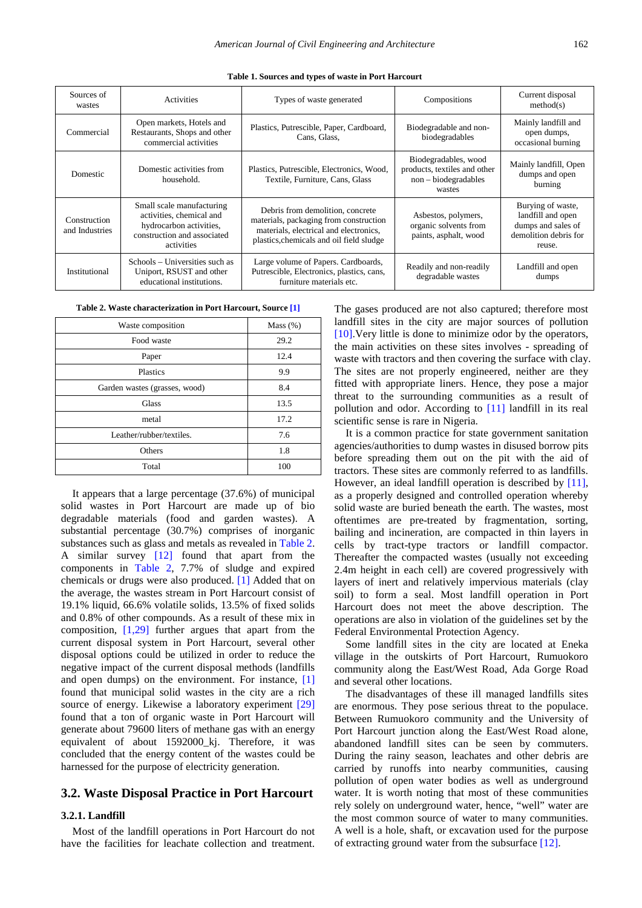<span id="page-2-0"></span>

| Sources of<br>wastes           | Activities                                                                                                                    | Types of waste generated                                                                                                                                         | Compositions                                                                           | Current disposal<br>method(s)                                                                   |
|--------------------------------|-------------------------------------------------------------------------------------------------------------------------------|------------------------------------------------------------------------------------------------------------------------------------------------------------------|----------------------------------------------------------------------------------------|-------------------------------------------------------------------------------------------------|
| Commercial                     | Open markets, Hotels and<br>Restaurants, Shops and other<br>commercial activities                                             | Plastics, Putrescible, Paper, Cardboard,<br>Cans, Glass,                                                                                                         | Biodegradable and non-<br>biodegradables                                               | Mainly landfill and<br>open dumps,<br>occasional burning                                        |
| Domestic                       | Domestic activities from<br>household.                                                                                        | Plastics, Putrescible, Electronics, Wood,<br>Textile, Furniture, Cans, Glass                                                                                     | Biodegradables, wood<br>products, textiles and other<br>$non-biodegradables$<br>wastes | Mainly landfill, Open<br>dumps and open<br>burning                                              |
| Construction<br>and Industries | Small scale manufacturing<br>activities, chemical and<br>hydrocarbon activities,<br>construction and associated<br>activities | Debris from demolition, concrete<br>materials, packaging from construction<br>materials, electrical and electronics.<br>plastics, chemicals and oil field sludge | Asbestos, polymers,<br>organic solvents from<br>paints, asphalt, wood                  | Burying of waste,<br>landfill and open<br>dumps and sales of<br>demolition debris for<br>reuse. |
| Institutional                  | Schools – Universities such as<br>Uniport, RSUST and other<br>educational institutions.                                       | Large volume of Papers. Cardboards,<br>Putrescible, Electronics, plastics, cans,<br>furniture materials etc.                                                     | Readily and non-readily<br>degradable wastes                                           | Landfill and open<br>dumps                                                                      |

**Table 1. Sources and types of waste in Port Harcourt**

| Table 2. Waste characterization in Port Harcourt, Source [1] |  |  |
|--------------------------------------------------------------|--|--|
|--------------------------------------------------------------|--|--|

<span id="page-2-1"></span>

| Waste composition             | Mass $(\%)$ |
|-------------------------------|-------------|
| Food waste                    | 29.2        |
| Paper                         | 12.4        |
| Plastics                      | 9.9         |
| Garden wastes (grasses, wood) | 8.4         |
| Glass                         | 13.5        |
| metal                         | 17.2        |
| Leather/rubber/textiles.      | 7.6         |
| Others                        | 1.8         |
| Total                         | 100         |
|                               |             |

It appears that a large percentage (37.6%) of municipal solid wastes in Port Harcourt are made up of bio degradable materials (food and garden wastes). A substantial percentage (30.7%) comprises of inorganic substances such as glass and metals as revealed in [Table 2.](#page-2-1) A similar survey [\[12\]](#page-5-9) found that apart from the components in [Table 2,](#page-2-1) 7.7% of sludge and expired chemicals or drugs were also produced. [\[1\]](#page-5-0) Added that on the average, the wastes stream in Port Harcourt consist of 19.1% liquid, 66.6% volatile solids, 13.5% of fixed solids and 0.8% of other compounds. As a result of these mix in composition,  $[1,29]$  further argues that apart from the current disposal system in Port Harcourt, several other disposal options could be utilized in order to reduce the negative impact of the current disposal methods (landfills and open dumps) on the environment. For instance, [\[1\]](#page-5-0) found that municipal solid wastes in the city are a rich source of energy. Likewise a laboratory experiment [\[29\]](#page-6-0) found that a ton of organic waste in Port Harcourt will generate about 79600 liters of methane gas with an energy equivalent of about 1592000\_kj. Therefore, it was concluded that the energy content of the wastes could be harnessed for the purpose of electricity generation.

#### **3.2. Waste Disposal Practice in Port Harcourt**

#### **3.2.1. Landfill**

Most of the landfill operations in Port Harcourt do not have the facilities for leachate collection and treatment. The gases produced are not also captured; therefore most landfill sites in the city are major sources of pollution [\[10\].](#page-5-10)Very little is done to minimize odor by the operators, the main activities on these sites involves - spreading of waste with tractors and then covering the surface with clay. The sites are not properly engineered, neither are they fitted with appropriate liners. Hence, they pose a major threat to the surrounding communities as a result of pollution and odor. According to [\[11\]](#page-5-11) landfill in its real scientific sense is rare in Nigeria.

It is a common practice for state government sanitation agencies/authorities to dump wastes in disused borrow pits before spreading them out on the pit with the aid of tractors. These sites are commonly referred to as landfills. However, an ideal landfill operation is described by [\[11\],](#page-5-11) as a properly designed and controlled operation whereby solid waste are buried beneath the earth. The wastes, most oftentimes are pre-treated by fragmentation, sorting, bailing and incineration, are compacted in thin layers in cells by tract-type tractors or landfill compactor. Thereafter the compacted wastes (usually not exceeding 2.4m height in each cell) are covered progressively with layers of inert and relatively impervious materials (clay soil) to form a seal. Most landfill operation in Port Harcourt does not meet the above description. The operations are also in violation of the guidelines set by the Federal Environmental Protection Agency.

Some landfill sites in the city are located at Eneka village in the outskirts of Port Harcourt, Rumuokoro community along the East/West Road, Ada Gorge Road and several other locations.

The disadvantages of these ill managed landfills sites are enormous. They pose serious threat to the populace. Between Rumuokoro community and the University of Port Harcourt junction along the East/West Road alone, abandoned landfill sites can be seen by commuters. During the rainy season, leachates and other debris are carried by runoffs into nearby communities, causing pollution of open water bodies as well as underground water. It is worth noting that most of these communities rely solely on underground water, hence, "well" water are the most common source of water to many communities. A well is a hole, shaft, or excavation used for the purpose of extracting ground water from the subsurface [\[12\].](#page-5-9)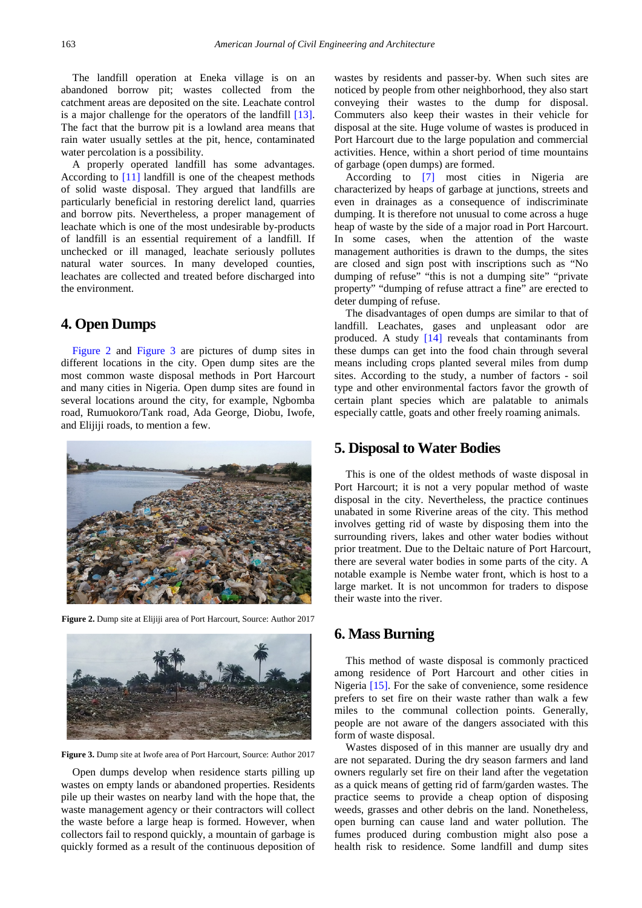The landfill operation at Eneka village is on an abandoned borrow pit; wastes collected from the catchment areas are deposited on the site. Leachate control is a major challenge for the operators of the landfill [\[13\].](#page-5-12) The fact that the burrow pit is a lowland area means that rain water usually settles at the pit, hence, contaminated water percolation is a possibility.

A properly operated landfill has some advantages. According to [\[11\]](#page-5-11) landfill is one of the cheapest methods of solid waste disposal. They argued that landfills are particularly beneficial in restoring derelict land, quarries and borrow pits. Nevertheless, a proper management of leachate which is one of the most undesirable by-products of landfill is an essential requirement of a landfill. If unchecked or ill managed, leachate seriously pollutes natural water sources. In many developed counties, leachates are collected and treated before discharged into the environment.

# **4. Open Dumps**

[Figure 2](#page-3-0) and [Figure 3](#page-3-1) are pictures of dump sites in different locations in the city. Open dump sites are the most common waste disposal methods in Port Harcourt and many cities in Nigeria. Open dump sites are found in several locations around the city, for example, Ngbomba road, Rumuokoro/Tank road, Ada George, Diobu, Iwofe, and Elijiji roads, to mention a few.

<span id="page-3-0"></span>

**Figure 2.** Dump site at Elijiji area of Port Harcourt, Source: Author 2017

<span id="page-3-1"></span>

**Figure 3.** Dump site at Iwofe area of Port Harcourt, Source: Author 2017

Open dumps develop when residence starts pilling up wastes on empty lands or abandoned properties. Residents pile up their wastes on nearby land with the hope that, the waste management agency or their contractors will collect the waste before a large heap is formed. However, when collectors fail to respond quickly, a mountain of garbage is quickly formed as a result of the continuous deposition of wastes by residents and passer-by. When such sites are noticed by people from other neighborhood, they also start conveying their wastes to the dump for disposal. Commuters also keep their wastes in their vehicle for disposal at the site. Huge volume of wastes is produced in Port Harcourt due to the large population and commercial activities. Hence, within a short period of time mountains of garbage (open dumps) are formed.

According to [\[7\]](#page-5-6) most cities in Nigeria are characterized by heaps of garbage at junctions, streets and even in drainages as a consequence of indiscriminate dumping. It is therefore not unusual to come across a huge heap of waste by the side of a major road in Port Harcourt. In some cases, when the attention of the waste management authorities is drawn to the dumps, the sites are closed and sign post with inscriptions such as "No dumping of refuse" "this is not a dumping site" "private property" "dumping of refuse attract a fine" are erected to deter dumping of refuse.

The disadvantages of open dumps are similar to that of landfill. Leachates, gases and unpleasant odor are produced. A study [\[14\]](#page-5-13) reveals that contaminants from these dumps can get into the food chain through several means including crops planted several miles from dump sites. According to the study, a number of factors - soil type and other environmental factors favor the growth of certain plant species which are palatable to animals especially cattle, goats and other freely roaming animals.

#### **5. Disposal to Water Bodies**

This is one of the oldest methods of waste disposal in Port Harcourt; it is not a very popular method of waste disposal in the city. Nevertheless, the practice continues unabated in some Riverine areas of the city. This method involves getting rid of waste by disposing them into the surrounding rivers, lakes and other water bodies without prior treatment. Due to the Deltaic nature of Port Harcourt, there are several water bodies in some parts of the city. A notable example is Nembe water front, which is host to a large market. It is not uncommon for traders to dispose their waste into the river.

## **6. Mass Burning**

This method of waste disposal is commonly practiced among residence of Port Harcourt and other cities in Nigeria [\[15\].](#page-6-1) For the sake of convenience, some residence prefers to set fire on their waste rather than walk a few miles to the communal collection points. Generally, people are not aware of the dangers associated with this form of waste disposal.

Wastes disposed of in this manner are usually dry and are not separated. During the dry season farmers and land owners regularly set fire on their land after the vegetation as a quick means of getting rid of farm/garden wastes. The practice seems to provide a cheap option of disposing weeds, grasses and other debris on the land. Nonetheless, open burning can cause land and water pollution. The fumes produced during combustion might also pose a health risk to residence. Some landfill and dump sites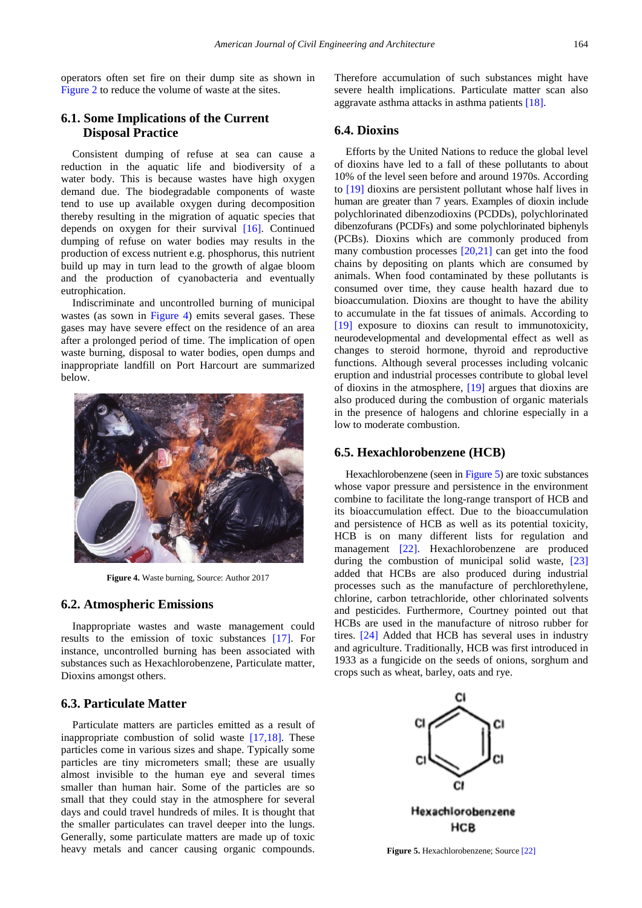operators often set fire on their dump site as shown in [Figure 2](#page-3-0) to reduce the volume of waste at the sites.

### **6.1. Some Implications of the Current Disposal Practice**

Consistent dumping of refuse at sea can cause a reduction in the aquatic life and biodiversity of a water body. This is because wastes have high oxygen demand due. The biodegradable components of waste tend to use up available oxygen during decomposition thereby resulting in the migration of aquatic species that depends on oxygen for their survival [\[16\].](#page-6-2) Continued dumping of refuse on water bodies may results in the production of excess nutrient e.g. phosphorus, this nutrient build up may in turn lead to the growth of algae bloom and the production of cyanobacteria and eventually eutrophication.

Indiscriminate and uncontrolled burning of municipal wastes (as sown in [Figure 4\)](#page-4-0) emits several gases. These gases may have severe effect on the residence of an area after a prolonged period of time. The implication of open waste burning, disposal to water bodies, open dumps and inappropriate landfill on Port Harcourt are summarized below.

<span id="page-4-0"></span>

**Figure 4.** Waste burning, Source: Author 2017

#### **6.2. Atmospheric Emissions**

Inappropriate wastes and waste management could results to the emission of toxic substances [\[17\].](#page-6-3) For instance, uncontrolled burning has been associated with substances such as Hexachlorobenzene, Particulate matter, Dioxins amongst others.

#### **6.3. Particulate Matter**

Particulate matters are particles emitted as a result of inappropriate combustion of solid waste  $[17,18]$ . These particles come in various sizes and shape. Typically some particles are tiny micrometers small; these are usually almost invisible to the human eye and several times smaller than human hair. Some of the particles are so small that they could stay in the atmosphere for several days and could travel hundreds of miles. It is thought that the smaller particulates can travel deeper into the lungs. Generally, some particulate matters are made up of toxic heavy metals and cancer causing organic compounds.

Therefore accumulation of such substances might have severe health implications. Particulate matter scan also aggravate asthma attacks in asthma patients [\[18\].](#page-6-4)

#### **6.4. Dioxins**

Efforts by the United Nations to reduce the global level of dioxins have led to a fall of these pollutants to about 10% of the level seen before and around 1970s. According to [\[19\]](#page-6-5) dioxins are persistent pollutant whose half lives in human are greater than 7 years. Examples of dioxin include polychlorinated dibenzodioxins (PCDDs), polychlorinated dibenzofurans (PCDFs) and some polychlorinated biphenyls (PCBs). Dioxins which are commonly produced from many combustion processes [\[20,21\]](#page-6-6) can get into the food chains by depositing on plants which are consumed by animals. When food contaminated by these pollutants is consumed over time, they cause health hazard due to bioaccumulation. Dioxins are thought to have the ability to accumulate in the fat tissues of animals. According to [\[19\]](#page-6-5) exposure to dioxins can result to immunotoxicity, neurodevelopmental and developmental effect as well as changes to steroid hormone, thyroid and reproductive functions. Although several processes including volcanic eruption and industrial processes contribute to global level of dioxins in the atmosphere, [\[19\]](#page-6-5) argues that dioxins are also produced during the combustion of organic materials in the presence of halogens and chlorine especially in a low to moderate combustion.

#### **6.5. Hexachlorobenzene (HCB)**

Hexachlorobenzene (seen i[n Figure 5\)](#page-4-1) are toxic substances whose vapor pressure and persistence in the environment combine to facilitate the long-range transport of HCB and its bioaccumulation effect. Due to the bioaccumulation and persistence of HCB as well as its potential toxicity, HCB is on many different lists for regulation and management [\[22\].](#page-6-7) Hexachlorobenzene are produced during the combustion of municipal solid waste, [\[23\]](#page-6-8) added that HCBs are also produced during industrial processes such as the manufacture of perchlorethylene, chlorine, carbon tetrachloride, other chlorinated solvents and pesticides. Furthermore, Courtney pointed out that HCBs are used in the manufacture of nitroso rubber for tires. [\[24\]](#page-6-9) Added that HCB has several uses in industry and agriculture. Traditionally, HCB was first introduced in 1933 as a fungicide on the seeds of onions, sorghum and crops such as wheat, barley, oats and rye.

<span id="page-4-1"></span>

**Figure 5.** Hexachlorobenzene; Sourc[e \[22\]](#page-6-7)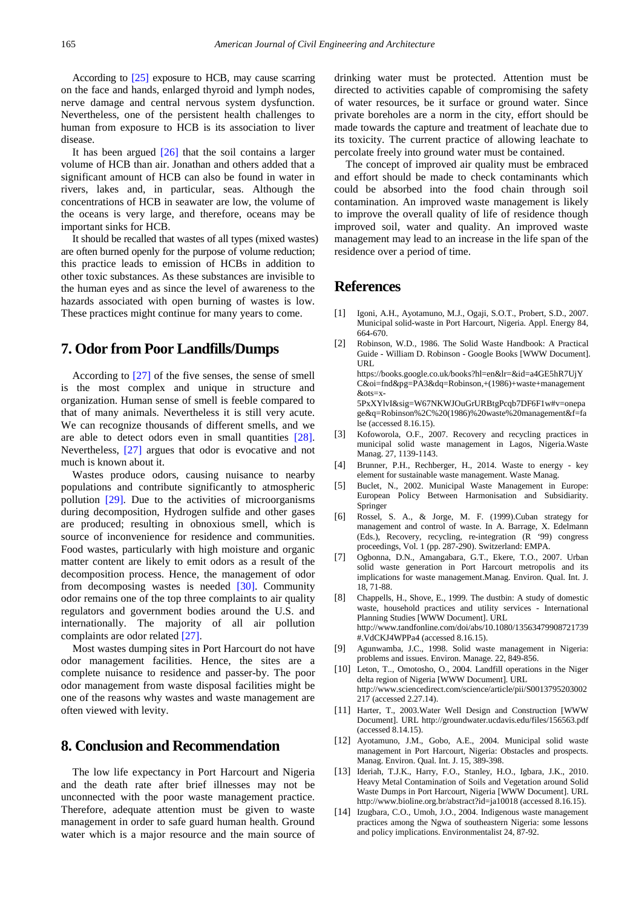According to [\[25\]](#page-6-10) exposure to HCB, may cause scarring on the face and hands, enlarged thyroid and lymph nodes, nerve damage and central nervous system dysfunction. Nevertheless, one of the persistent health challenges to human from exposure to HCB is its association to liver disease.

It has been argued [\[26\]](#page-6-11) that the soil contains a larger volume of HCB than air. Jonathan and others added that a significant amount of HCB can also be found in water in rivers, lakes and, in particular, seas. Although the concentrations of HCB in seawater are low, the volume of the oceans is very large, and therefore, oceans may be important sinks for HCB.

It should be recalled that wastes of all types (mixed wastes) are often burned openly for the purpose of volume reduction; this practice leads to emission of HCBs in addition to other toxic substances. As these substances are invisible to the human eyes and as since the level of awareness to the hazards associated with open burning of wastes is low. These practices might continue for many years to come.

## **7. Odor from Poor Landfills/Dumps**

According to [\[27\]](#page-6-12) of the five senses, the sense of smell is the most complex and unique in structure and organization. Human sense of smell is feeble compared to that of many animals. Nevertheless it is still very acute. We can recognize thousands of different smells, and we are able to detect odors even in small quantities [\[28\].](#page-6-13) Nevertheless, [\[27\]](#page-6-12) argues that odor is evocative and not much is known about it.

Wastes produce odors, causing nuisance to nearby populations and contribute significantly to atmospheric pollution [\[29\].](#page-6-0) Due to the activities of microorganisms during decomposition, Hydrogen sulfide and other gases are produced; resulting in obnoxious smell, which is source of inconvenience for residence and communities. Food wastes, particularly with high moisture and organic matter content are likely to emit odors as a result of the decomposition process. Hence, the management of odor from decomposing wastes is needed [30]. Community odor remains one of the top three complaints to air quality regulators and government bodies around the U.S. and internationally. The majority of all air pollution complaints are odor related [\[27\].](#page-6-12)

Most wastes dumping sites in Port Harcourt do not have odor management facilities. Hence, the sites are a complete nuisance to residence and passer-by. The poor odor management from waste disposal facilities might be one of the reasons why wastes and waste management are often viewed with levity.

## **8. Conclusion and Recommendation**

The low life expectancy in Port Harcourt and Nigeria and the death rate after brief illnesses may not be unconnected with the poor waste management practice. Therefore, adequate attention must be given to waste management in order to safe guard human health. Ground water which is a major resource and the main source of

drinking water must be protected. Attention must be directed to activities capable of compromising the safety of water resources, be it surface or ground water. Since private boreholes are a norm in the city, effort should be made towards the capture and treatment of leachate due to its toxicity. The current practice of allowing leachate to percolate freely into ground water must be contained.

The concept of improved air quality must be embraced and effort should be made to check contaminants which could be absorbed into the food chain through soil contamination. An improved waste management is likely to improve the overall quality of life of residence though improved soil, water and quality. An improved waste management may lead to an increase in the life span of the residence over a period of time.

#### **References**

- <span id="page-5-0"></span>[1] Igoni, A.H., Ayotamuno, M.J., Ogaji, S.O.T., Probert, S.D., 2007. Municipal solid-waste in Port Harcourt, Nigeria. Appl. Energy 84, 664-670.
- <span id="page-5-1"></span>[2] Robinson, W.D., 1986. The Solid Waste Handbook: A Practical Guide - William D. Robinson - Google Books [WWW Document]. URL https://books.google.co.uk/books?hl=en&lr=&id=a4GE5hR7UjY C&oi=fnd&pg=PA3&dq=Robinson,+(1986)+waste+management  $&$ ots=x-

5PxXYlvI&sig=W67NKWJOuGrURBtgPcqb7DF6F1w#v=onepa ge&q=Robinson%2C%20(1986)%20waste%20management&f=fa lse (accessed 8.16.15).

- <span id="page-5-2"></span>[3] Kofoworola, O.F., 2007. Recovery and recycling practices in municipal solid waste management in Lagos, Nigeria.Waste Manag. 27, 1139-1143.
- <span id="page-5-3"></span>[4] Brunner, P.H., Rechberger, H., 2014. Waste to energy - key element for sustainable waste management. Waste Manag.
- <span id="page-5-4"></span>[5] Buclet, N., 2002. Municipal Waste Management in Europe: European Policy Between Harmonisation and Subsidiarity. Springer
- <span id="page-5-5"></span>[6] Rossel, S. A., & Jorge, M. F. (1999).Cuban strategy for management and control of waste. In A. Barrage, X. Edelmann (Eds.), Recovery, recycling, re-integration (R '99) congress proceedings, Vol. 1 (pp. 287-290). Switzerland: EMPA.
- <span id="page-5-6"></span>[7] Ogbonna, D.N., Amangabara, G.T., Ekere, T.O., 2007. Urban solid waste generation in Port Harcourt metropolis and its implications for waste management.Manag. Environ. Qual. Int. J. 18, 71-88.
- <span id="page-5-7"></span>[8] Chappells, H., Shove, E., 1999. The dustbin: A study of domestic waste, household practices and utility services - International Planning Studies [WWW Document]. URL http://www.tandfonline.com/doi/abs/10.1080/13563479908721739 #.VdCKJ4WPPa4 (accessed 8.16.15).
- <span id="page-5-8"></span>[9] Agunwamba, J.C., 1998. Solid waste management in Nigeria: problems and issues. Environ. Manage. 22, 849-856.
- <span id="page-5-10"></span>[10] Leton, T.., Omotosho, O., 2004. Landfill operations in the Niger delta region of Nigeria [WWW Document]. URL http://www.sciencedirect.com/science/article/pii/S0013795203002 217 (accessed 2.27.14).
- <span id="page-5-11"></span>[11] Harter, T., 2003.Water Well Design and Construction [WWW Document]. URL http://groundwater.ucdavis.edu/files/156563.pdf (accessed 8.14.15).
- <span id="page-5-9"></span>[12] Ayotamuno, J.M., Gobo, A.E., 2004. Municipal solid waste management in Port Harcourt, Nigeria: Obstacles and prospects. Manag. Environ. Qual. Int. J. 15, 389-398.
- <span id="page-5-12"></span>[13] Ideriah, T.J.K., Harry, F.O., Stanley, H.O., Igbara, J.K., 2010. Heavy Metal Contamination of Soils and Vegetation around Solid Waste Dumps in Port Harcourt, Nigeria [WWW Document]. URL http://www.bioline.org.br/abstract?id=ja10018 (accessed 8.16.15).
- <span id="page-5-13"></span>[14] Izugbara, C.O., Umoh, J.O., 2004. Indigenous waste management practices among the Ngwa of southeastern Nigeria: some lessons and policy implications. Environmentalist 24, 87-92.